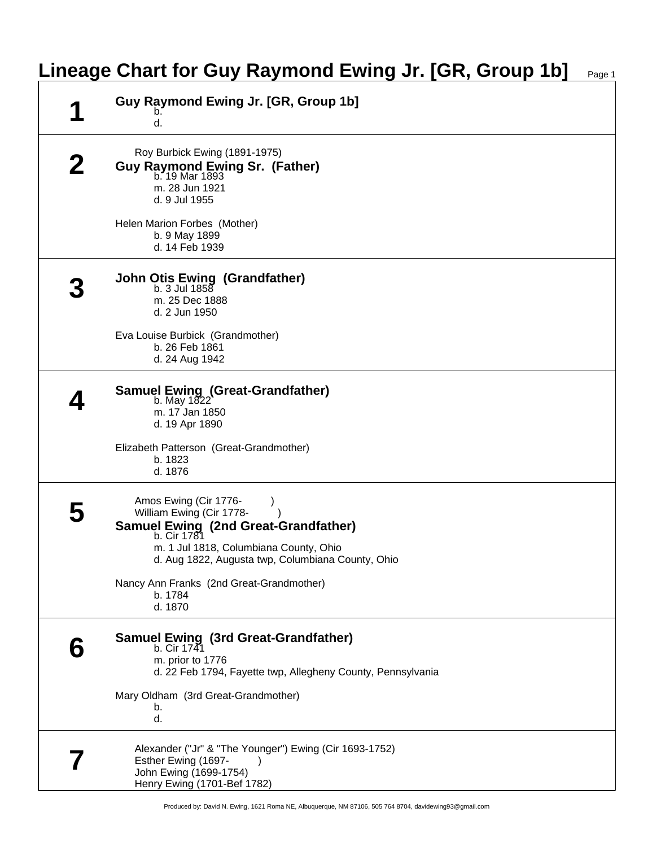|   | Lineage Chart for Guy Raymond Ewing Jr. [GR, Group 1b]<br>Page 1                                                                                                                                                                                               |
|---|----------------------------------------------------------------------------------------------------------------------------------------------------------------------------------------------------------------------------------------------------------------|
|   | Guy Raymond Ewing Jr. [GR, Group 1b]<br>d.                                                                                                                                                                                                                     |
| 2 | Roy Burbick Ewing (1891-1975)<br>Guy Raymond Ewing Sr. (Father)<br>b. 19 Mar 1893<br>m. 28 Jun 1921<br>d. 9 Jul 1955                                                                                                                                           |
|   | Helen Marion Forbes (Mother)<br>b. 9 May 1899<br>d. 14 Feb 1939                                                                                                                                                                                                |
|   | <b>John Otis Ewing (Grandfather)</b><br>b. 3 Jul 1858<br>m. 25 Dec 1888<br>d. 2 Jun 1950                                                                                                                                                                       |
|   | Eva Louise Burbick (Grandmother)<br>b. 26 Feb 1861<br>d. 24 Aug 1942                                                                                                                                                                                           |
|   | Samuel Ewing (Great-Grandfather)<br>b. May 1822<br>m. 17 Jan 1850<br>d. 19 Apr 1890                                                                                                                                                                            |
|   | Elizabeth Patterson (Great-Grandmother)<br>b. 1823<br>d. 1876                                                                                                                                                                                                  |
|   | Amos Ewing (Cir 1776-<br>William Ewing (Cir 1778-<br>Samuel Ewing (2nd Great-Grandfather)<br>b. Cir 1781<br>m. 1 Jul 1818, Columbiana County, Ohio<br>d. Aug 1822, Augusta twp, Columbiana County, Ohio<br>Nancy Ann Franks (2nd Great-Grandmother)<br>b. 1784 |
|   | d. 1870<br><b>Samuel Ewing (3rd Great-Grandfather)</b><br>b. Cir 1741<br>m. prior to 1776<br>d. 22 Feb 1794, Fayette twp, Allegheny County, Pennsylvania                                                                                                       |
|   | Mary Oldham (3rd Great-Grandmother)<br>b.<br>d.                                                                                                                                                                                                                |
|   | Alexander ("Jr" & "The Younger") Ewing (Cir 1693-1752)<br>Esther Ewing (1697-<br>John Ewing (1699-1754)<br>Henry Ewing (1701-Bef 1782)                                                                                                                         |